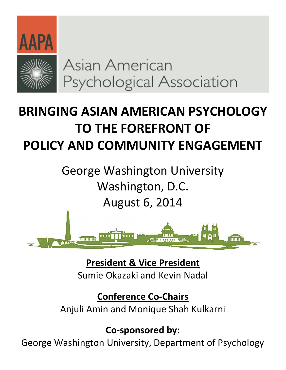

Asian American Psychological Association

# **BRINGING ASIAN AMERICAN PSYCHOLOGY TO THE FOREFRONT OF POLICY AND COMMUNITY ENGAGEMENT**

George Washington University Washington, D.C. August 6, 2014



**President & Vice President** Sumie Okazaki and Kevin Nadal

**Conference Co-Chairs** Anjuli Amin and Monique Shah Kulkarni

**Co-sponsored by:**

George Washington University, Department of Psychology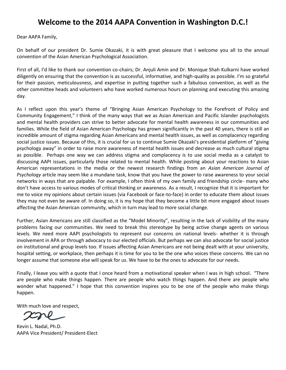# **Welcome to the 2014 AAPA Convention in Washington D.C.!**

Dear AAPA Family,

On behalf of our president Dr. Sumie Okazaki, it is with great pleasure that I welcome you all to the annual convention of the Asian American Psychological Association.

First of all, I'd like to thank our convention co-chairs; Dr. Anjuli Amin and Dr. Monique Shah Kulkarni have worked diligently on ensuring that the convention is as successful, informative, and high-quality as possible. I'm so grateful for their passion, meticulousness, and expertise in putting together such a fabulous convention, as well as the other committee heads and volunteers who have worked numerous hours on planning and executing this amazing day.

As I reflect upon this year's theme of "Bringing Asian American Psychology to the Forefront of Policy and Community Engagement," I think of the many ways that we as Asian American and Pacific Islander psychologists and mental health providers can strive to better advocate for mental health awareness in our communities and families. While the field of Asian American Psychology has grown significantly in the past 40 years, there is still an incredible amount of stigma regarding Asian Americans and mental health issues, as well as complacency regarding social justice issues. Because of this, it is crucial for us to continue Sumie Okazaki's presidential platform of "giving psychology away" in order to raise more awareness of mental health issues and decrease as much cultural stigma as possible. Perhaps one way we can address stigma and complacency is to use social media as a catalyst to discussing AAPI issues, particularly those related to mental health. While posting about your reactions to Asian American representations in the media or the newest research findings from an *Asian American Journal of Psychology* article may seem like a mundane task, know that you have the power to raise awareness to your social networks in ways that are palpable. For example, I often think of my own family and friendship circle- many who don't have access to various modes of critical thinking or awareness. As a result, I recognize that it is important for me to voice my opinions about certain issues (via Facebook or face-to-face) in order to educate them about issues they may not even be aware of. In doing so, it is my hope that they become a little bit more engaged about issues affecting the Asian American community, which in turn may lead to more social change.

Further, Asian Americans are still classified as the "Model Minority", resulting in the lack of visibility of the many problems facing our communities. We need to break this stereotype by being active change agents on various levels. We need more AAPI psychologists to represent our concerns on national levels- whether it is through involvement in APA or through advocacy to our elected officials. But perhaps we can also advocate for social justice on institutional and group levels too. If issues affecting Asian Americans are not being dealt with at your university, hospital setting, or workplace, then perhaps it is time for you to be the one who voices these concerns. We can no longer assume that someone else will speak for us. We have to be the ones to advocate for our needs.

Finally, I leave you with a quote that I once heard from a motivational speaker when I was in high school. "There are people who make things happen. There are people who watch things happen. And there are people who wonder what happened." I hope that this convention inspires you to be one of the people who make things happen.

With much love and respect,

Kevin L. Nadal, Ph.D. AAPA Vice President/ President-Elect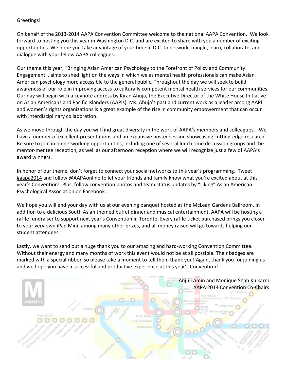#### Greetings!

On behalf of the 2013-2014 AAPA Convention Committee welcome to the national AAPA Convention. We look forward to hosting you this year in Washington D.C. and are excited to share with you a number of exciting opportunities. We hope you take advantage of your time in D.C. to network, mingle, learn, collaborate, and dialogue with your fellow AAPA colleagues.

Our theme this year, "Bringing Asian American Psychology to the Forefront of Policy and Community Engagement", aims to shed light on the ways in which we as mental health professionals can make Asian American psychology more accessible to the general public. Throughout the day we will seek to build awareness of our role in improving access to culturally competent mental health services for our communities. Our day will begin with a keynote address by Kiran Ahuja, the Executive Director of the White House Initiative on Asian Americans and Pacific Islanders (AAPIs). Ms. Ahuja's past and current work as a leader among AAPI and women's rights organizations is a great example of the rise in community empowerment that can occur with interdisciplinary collaboration.

As we move through the day you will find great diversity in the work of AAPA's members and colleagues. We have a number of excellent presentations and an expansive poster session showcasing cutting-edge research. Be sure to join in on networking opportunities, including one of several lunch time discussion groups and the mentor-mentee reception, as well as our afternoon reception where we will recognize just a few of AAPA's award winners.

In honor of our theme, don't forget to connect your social networks to this year's programming. Tweet #aapa2014 and follow @AAPAonline to let your friends and family know what you're excited about at this year's Convention! Plus, follow convention photos and team status updates by "Liking" Asian American Psychological Association on Facebook.

We hope you will end your day with us at our evening banquet hosted at the McLean Gardens Ballroom. In addition to a delicious South Asian themed buffet dinner and musical entertainment, AAPA will be hosting a raffle fundraiser to support next year's Convention in Toronto. Every raffle ticket purchased brings you closer to your very own iPad Mini, among many other prizes, and all money raised will go towards helping our student attendees.

Lastly, we want to send out a huge thank you to our amazing and hard-working Convention Committee. Without their energy and many months of work this event would not be at all possible. Their badges are marked with a special ribbon so please take a moment to tell them thank you! Again, thank you for joining us and we hope you have a successful and productive experience at this year's Convention!

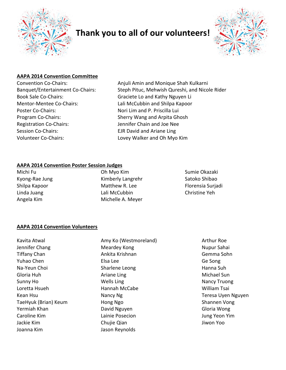

# **Thank you to all of our volunteers!**



#### **AAPA 2014 Convention Committee**

Book Sale Co-Chairs: Graciete Lo and Kathy Nguyen Li Mentor-Mentee Co-Chairs: Lali McCubbin and Shilpa Kapoor Poster Co-Chairs: Nori Lim and P. Priscilla Lui Program Co-Chairs: Sherry Wang and Arpita Ghosh Registration Co-Chairs: Jennifer Chain and Joe Nee Session Co-Chairs: EJR David and Ariane Ling Volunteer Co-Chairs: Lovey Walker and Oh Myo Kim

Convention Co-Chairs: Anjuli Amin and Monique Shah Kulkarni Banquet/Entertainment Co-Chairs: Steph Pituc, Mehwish Qureshi, and Nicole Rider

#### **AAPA 2014 Convention Poster Session Judges**

Michi Fu **Oh Myo Kim** Sumie Okazaki

Kyong-Rae Jung **Kimberly Langrehr** Satoko Shibao Shilpa Kapoor **Matthew R. Lee** Florensia Surjadi Linda Juang **Lali McCubbin** Christine Yeh Angela Kim **Michelle A. Meyer** 

#### **AAPA 2014 Convention Volunteers**

Kavita Atwal **Amy Ko (Westmoreland)** Arthur Roe Jennifer Chang Nupur Sahai Nupur Sahai Nupur Sahai Tiffany Chan **Ankita Krishnan** Gemma Sohn Gemma Sohn Yuhao Chen Elsa Lee Ge Song Na-Yeun Choi **National Sharlene Leong** National Suh Hanna Suh Gloria Huh **Ariane Ling Ariane Ling Ariane Ling Michael Sun** Sunny Ho **Nancy Truong Wells Ling Nancy Truong Nancy Truong** Nancy Truong Loretta Hsueh **Mannah McCabe** Mannah McCabe William Tsai Kean Hsu Nancy Ng Nancy Ng Teresa Uyen Nguyen TaeHyuk (Brian) Keum Hong Ngo Shannen Vong Yermiah Khan David Nguyen Gloria Wong Caroline Kim Lainie Posecion Jung Yeon Yim Jackie Kim Chujie Qian Jiwon Yoo Joanna Kim Jason Reynolds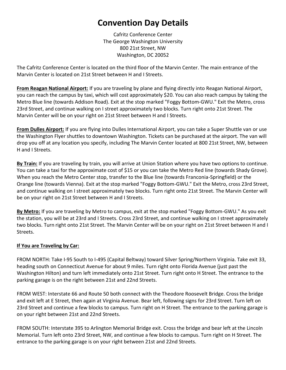# **Convention Day Details**

Cafritz Conference Center The George Washington University 800 21st Street, NW Washington, DC 20052

The Cafritz Conference Center is located on the third floor of the Marvin Center. The main entrance of the Marvin Center is located on 21st Street between H and I Streets.

**From Reagan National Airport:** If you are traveling by plane and flying directly into Reagan National Airport, you can reach the campus by taxi, which will cost approximately \$20. You can also reach campus by taking the Metro Blue line (towards Addison Road). Exit at the stop marked "Foggy Bottom-GWU." Exit the Metro, cross 23rd Street, and continue walking on I street approximately two blocks. Turn right onto 21st Street. The Marvin Center will be on your right on 21st Street between H and I Streets.

**From Dulles Airport:** If you are flying into Dulles International Airport, you can take a Super Shuttle van or use the Washington Flyer shuttles to downtown Washington. Tickets can be purchased at the airport. The van will drop you off at any location you specify, including The Marvin Center located at 800 21st Street, NW, between H and I Streets.

**By Train:** If you are traveling by train, you will arrive at Union Station where you have two options to continue. You can take a taxi for the approximate cost of \$15 or you can take the Metro Red line (towards Shady Grove). When you reach the Metro Center stop, transfer to the Blue line (towards Franconia-Springfield) or the Orange line (towards Vienna). Exit at the stop marked "Foggy Bottom-GWU." Exit the Metro, cross 23rd Street, and continue walking on I street approximately two blocks. Turn right onto 21st Street. The Marvin Center will be on your right on 21st Street between H and I Streets.

**By Metro:** If you are traveling by Metro to campus, exit at the stop marked "Foggy Bottom-GWU." As you exit the station, you will be at 23rd and I Streets. Cross 23rd Street, and continue walking on I street approximately two blocks. Turn right onto 21st Street. The Marvin Center will be on your right on 21st Street between H and I Streets.

#### **If You are Traveling by Car:**

FROM NORTH: Take I-95 South to I-495 (Capital Beltway) toward Silver Spring/Northern Virginia. Take exit 33, heading south on Connecticut Avenue for about 9 miles. Turn right onto Florida Avenue (just past the Washington Hilton) and turn left immediately onto 21st Street. Turn right onto H Street. The entrance to the parking garage is on the right between 21st and 22nd Streets.

FROM WEST: Interstate 66 and Route 50 both connect with the Theodore Roosevelt Bridge. Cross the bridge and exit left at E Street, then again at Virginia Avenue. Bear left, following signs for 23rd Street. Turn left on 23rd Street and continue a few blocks to campus. Turn right on H Street. The entrance to the parking garage is on your right between 21st and 22nd Streets.

FROM SOUTH: Interstate 395 to Arlington Memorial Bridge exit. Cross the bridge and bear left at the Lincoln Memorial. Turn left onto 23rd Street, NW, and continue a few blocks to campus. Turn right on H Street. The entrance to the parking garage is on your right between 21st and 22nd Streets.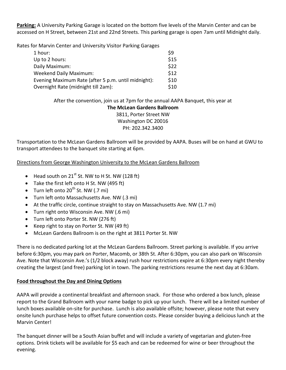**Parking:** A University Parking Garage is located on the bottom five levels of the Marvin Center and can be accessed on H Street, between 21st and 22nd Streets. This parking garage is open 7am until Midnight daily.

Rates for Marvin Center and University Visitor Parking Garages

| 1 hour:                                             | \$9  |
|-----------------------------------------------------|------|
| Up to 2 hours:                                      | \$15 |
| Daily Maximum:                                      | \$22 |
| <b>Weekend Daily Maximum:</b>                       | \$12 |
| Evening Maximum Rate (after 5 p.m. until midnight): | \$10 |
| Overnight Rate (midnight till 2am):                 | \$10 |

After the convention, join us at 7pm for the annual AAPA Banquet, this year at **The McLean Gardens Ballroom**

> 3811, Porter Street NW Washington DC 20016 PH: 202.342.3400

Transportation to the McLean Gardens Ballroom will be provided by AAPA. Buses will be on hand at GWU to transport attendees to the banquet site starting at 6pm.

Directions from George Washington University to the McLean Gardens Ballroom

- $\bullet$  Head south on 21<sup>st</sup> St. NW to H St. NW (128 ft)
- Take the first left onto H St. NW (495 ft)
- $\bullet$  Turn left onto 20<sup>th</sup> St. NW (.7 mi)
- Turn left onto Massachusetts Ave. NW (.3 mi)
- At the traffic circle, continue straight to stay on Massachusetts Ave. NW (1.7 mi)
- Turn right onto Wisconsin Ave. NW (.6 mi)
- Turn left onto Porter St. NW (276 ft)
- Keep right to stay on Porter St. NW (49 ft)
- McLean Gardens Ballroom is on the right at 3811 Porter St. NW

There is no dedicated parking lot at the McLean Gardens Ballroom. Street parking is available. If you arrive before 6:30pm, you may park on Porter, Macomb, or 38th St. After 6:30pm, you can also park on Wisconsin Ave. Note that Wisconsin Ave.'s (1/2 block away) rush hour restrictions expire at 6:30pm every night thereby creating the largest (and free) parking lot in town. The parking restrictions resume the next day at 6:30am.

#### **Food throughout the Day and Dining Options**

AAPA will provide a continental breakfast and afternoon snack. For those who ordered a box lunch, please report to the Grand Ballroom with your name badge to pick up your lunch. There will be a limited number of lunch boxes available on-site for purchase. Lunch is also available offsite; however, please note that every onsite lunch purchase helps to offset future convention costs. Please consider buying a delicious lunch at the Marvin Center!

The banquet dinner will be a South Asian buffet and will include a variety of vegetarian and gluten-free options. Drink tickets will be available for \$5 each and can be redeemed for wine or beer throughout the evening.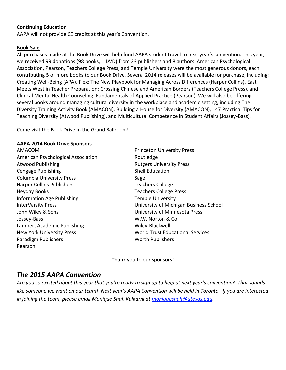#### **Continuing Education**

AAPA will not provide CE credits at this year's Convention.

#### **Book Sale**

All purchases made at the Book Drive will help fund AAPA student travel to next year's convention. This year, we received 99 donations (98 books, 1 DVD) from 23 publishers and 8 authors. American Psychological Association, Pearson, Teachers College Press, and Temple University were the most generous donors, each contributing 5 or more books to our Book Drive. Several 2014 releases will be available for purchase, including: Creating Well-Being (APA), Flex: The New Playbook for Managing Across Differences (Harper Collins), East Meets West in Teacher Preparation: Crossing Chinese and American Borders (Teachers College Press), and Clinical Mental Health Counseling: Fundamentals of Applied Practice (Pearson). We will also be offering several books around managing cultural diversity in the workplace and academic setting, including The Diversity Training Activity Book (AMACON), Building a House for Diversity (AMACON), 147 Practical Tips for Teaching Diversity (Atwood Publishing), and Multicultural Competence in Student Affairs (Jossey-Bass).

Come visit the Book Drive in the Grand Ballroom!

#### **AAPA 2014 Book Drive Sponsors**

AMACOM Princeton University Press American Psychological Association **Routledge** Atwood Publishing **Atwood Publishing Rutgers University Press** Cengage Publishing Shell Education Columbia University Press **Sage** Harper Collins Publishers Teachers College Heyday Books Teachers College Press Information Age Publishing Temple University John Wiley & Sons University of Minnesota Press Jossey-Bass W.W. Norton & Co. Lambert Academic Publishing Wiley-Blackwell Paradigm Publishers North Publishers North Publishers Pearson

InterVarsity Press University of Michigan Business School New York University Press World Trust Educational Services

Thank you to our sponsors!

# *The 2015 AAPA Convention*

*Are you so excited about this year that you're ready to sign up to help at next year's convention? That sounds like someone we want on our team! Next year's AAPA Convention will be held in Toronto. If you are interested in joining the team, please email Monique Shah Kulkarni at [moniqueshah@utexas.edu.](mailto:moniqueshah@utexas.edu)*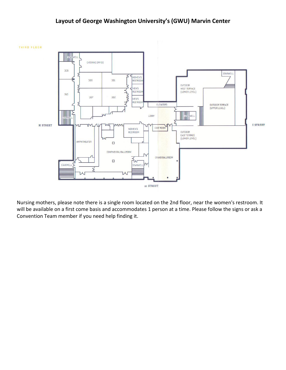### **Layout of George Washington University's (GWU) Marvin Center**



Nursing mothers, please note there is a single room located on the 2nd floor, near the women's restroom. It will be available on a first come basis and accommodates 1 person at a time. Please follow the signs or ask a Convention Team member if you need help finding it.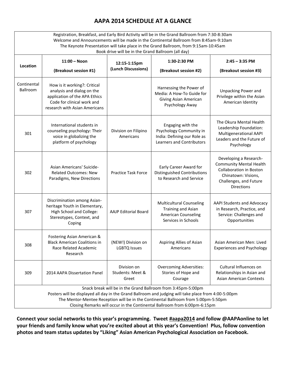# **AAPA 2014 SCHEDULE AT A GLANCE**

Registration, Breakfast, and Early Bird Activity will be in the Grand Ballroom from 7:30-8:30am Welcome and Announcements will be made in the Continental Ballroom from 8:45am-9:10am The Keynote Presentation will take place in the Grand Ballroom, from 9:15am-10:45am Book drive will be in the Grand Ballroom (all day) **Location 11:00 – Noon (Breakout session #1) 12:15-1:15pm (Lunch Discussions) 1:30-2:30 PM (Breakout session #2) 2:45 – 3:35 PM (Breakout session #3)** Continental Ballroom How is it working?: Critical analysis and dialog on the application of the APA Ethics Code for clinical work and research with Asian Americans Harnessing the Power of Media: A How-To Guide for Giving Asian American Psychology Away Unpacking Power and Privilege within the Asian American Identity 301 International students in counseling psychology: Their voice in globalizing the platform of psychology Division on Filipino Americans Engaging with the Psychology Community in India: Defining our Role as Learners and Contributors The Okura Mental Health Leadership Foundation: Multigenerational AAPI Leaders and the Future of Psychology 302 Asian Americans' Suicide-Related Outcomes: New Paradigms, New Directions Practice Task Force Early Career Award for Distinguished Contributions to Research and Service Developing a Research-Community Mental Health Collaboration in Boston Chinatown: Visions, Challenges, and Future Directions 307 Discrimination among Asianheritage Youth in Elementary, High School and College: Stereotypes, Context, and Coping AAJP Editorial Board Multicultural Counseling Training and Asian American Counseling Services in Schools AAPI Students and Advocacy in Research, Practice, and Service: Challenges and Opportunities 308 Fostering Asian American & Black American Coalitions in Race Related Academic Research (NEW!) Division on LGBTQ Issues Aspiring Allies of Asian Americans Asian American Men: Lived Experiences and Psychology 309 2014 AAPA Dissertation Panel Division on Students: Meet & Greet Overcoming Adversities: Stories of Hope and Courage Cultural Influences on Relationships in Asian and Asian American Contexts Snack break will be in the Grand Ballroom from 3:45pm-5:00pm Posters will be displayed all day in the Grand Ballroom and judging will take place from 4:00-5:00pm The Mentor-Mentee Reception will be in the Continental Ballroom from 5:00pm-5:50pm Closing Remarks will occur in the Continental Ballroom from 6:00pm-6:15pm

**Connect your social networks to this year's programming. Tweet #aapa2014 and follow @AAPAonline to let your friends and family know what you're excited about at this year's Convention! Plus, follow convention photos and team status updates by "Liking" Asian American Psychological Association on Facebook.**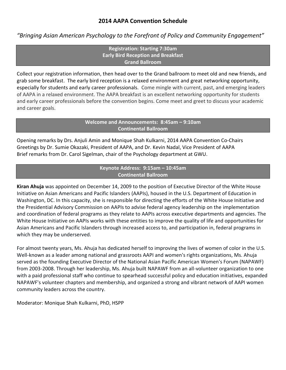### **2014 AAPA Convention Schedule**

*"Bringing Asian American Psychology to the Forefront of Policy and Community Engagement"*

**Registration: Starting 7:30am Early Bird Reception and Breakfast Grand Ballroom** 

Collect your registration information, then head over to the Grand ballroom to meet old and new friends, and grab some breakfast. The early bird reception is a relaxed environment and great networking opportunity, especially for students and early career professionals. Come mingle with current, past, and emerging leaders of AAPA in a relaxed environment. The AAPA breakfast is an excellent networking opportunity for students and early career professionals before the convention begins. Come meet and greet to discuss your academic and career goals.

> **Welcome and Announcements: 8:45am – 9:10am Continental Ballroom**

Opening remarks by Drs. Anjuli Amin and Monique Shah Kulkarni, 2014 AAPA Convention Co-Chairs Greetings by Dr. Sumie Okazaki, President of AAPA, and Dr. Kevin Nadal, Vice President of AAPA Brief remarks from Dr. Carol Sigelman, chair of the Psychology department at GWU.

#### **Keynote Address: 9:15am – 10:45am Continental Ballroom**

**Kiran Ahuja** was appointed on December 14, 2009 to the position of Executive Director of the White House Initiative on Asian Americans and Pacific Islanders (AAPIs), housed in the U.S. Department of Education in Washington, DC. In this capacity, she is responsible for directing the efforts of the White House Initiative and the Presidential Advisory Commission on AAPIs to advise federal agency leadership on the implementation and coordination of federal programs as they relate to AAPIs across executive departments and agencies. The White House Initiative on AAPIs works with these entities to improve the quality of life and opportunities for Asian Americans and Pacific Islanders through increased access to, and participation in, federal programs in which they may be underserved.

For almost twenty years, Ms. Ahuja has dedicated herself to improving the lives of women of color in the U.S. Well-known as a leader among national and grassroots AAPI and women's rights organizations, Ms. Ahuja served as the founding Executive Director of the National Asian Pacific American Women's Forum (NAPAWF) from 2003-2008. Through her leadership, Ms. Ahuja built NAPAWF from an all-volunteer organization to one with a paid professional staff who continue to spearhead successful policy and education initiatives, expanded NAPAWF's volunteer chapters and membership, and organized a strong and vibrant network of AAPI women community leaders across the country.

Moderator: Monique Shah Kulkarni, PhD, HSPP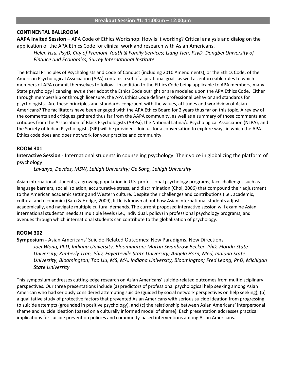#### **CONTINENTAL BALLROOM**

**AAPA Invited Session** – APA Code of Ethics Workshop: How is it working? Critical analysis and dialog on the application of the APA Ethics Code for clinical work and research with Asian Americans.

*Helen Hsu, PsyD, City of Fremont Youth & Family Services; Liang Tien, PsyD, Dongbei University of Finance and Economics, Surrey International Institute*

The Ethical Principles of Psychologists and Code of Conduct (including 2010 Amendments), or the Ethics Code, of the American Psychological Association (APA) contains a set of aspirational goals as well as enforceable rules to which members of APA commit themselves to follow. In addition to the Ethics Code being applicable to APA members, many State psychology licensing laws either adopt the Ethics Code outright or are modeled upon the APA Ethics Code. Either through membership or through licensure, the APA Ethics Code defines professional behavior and standards for psychologists. Are these principles and standards congruent with the values, attitudes and worldview of Asian Americans? The facilitators have been engaged with the APA Ethics Board for 2 years thus far on this topic. A review of the comments and critiques gathered thus far from the AAPA community, as well as a summary of those comments and critiques from the Association of Black Psychologists (ABPsi), the National Latina/o Psychological Association (NLPA), and the Society of Indian Psychologists (SIP) will be provided. Join us for a conversation to explore ways in which the APA Ethics code does and does not work for your practice and community.

#### **ROOM 301**

**Interactive Session** - International students in counseling psychology: Their voice in globalizing the platform of psychology

*Lavanya, Devdas, MSW, Lehigh University; Ge Song, Lehigh University*

Asian international students, a growing population in U.S. professional psychology programs, face challenges such as language barriers, social isolation, acculturative stress, and discrimination (Choi, 2006) that compound their adjustment to the American academic setting and Western culture. Despite their challenges and contributions (i.e., academic, cultural and economic) (Sato & Hodge, 2009), little is known about how Asian international students adjust academically, and navigate multiple cultural demands. The current proposed interactive session will examine Asian international students' needs at multiple levels (i.e., individual, policy) in professional psychology programs, and avenues through which international students can contribute to the globalization of psychology.

#### **ROOM 302**

**Symposium -** Asian Americans' Suicide-Related Outcomes: New Paradigms, New Directions *Joel Wong, PhD, Indiana University, Bloomington; Martin Swanbrow Becker, PhD, Florida State University; Kimberly Tran, PhD, Fayetteville State University; Angela Horn, Med, Indiana State University, Bloomington; Tao Liu, MS, MA, Indiana University, Bloomington; Fred Leong, PhD, Michigan State University*

This symposium addresses cutting-edge research on Asian Americans' suicide-related outcomes from multidisciplinary perspectives. Our three presentations include (a) predictors of professional psychological help seeking among Asian American who had seriously considered attempting suicide (guided by social network perspectives on help seeking), (b) a qualitative study of protective factors that prevented Asian Americans with serious suicide ideation from progressing to suicide attempts (grounded in positive psychology), and (c) the relationship between Asian Americans' interpersonal shame and suicide ideation (based on a culturally informed model of shame). Each presentation addresses practical implications for suicide prevention policies and community-based interventions among Asian Americans.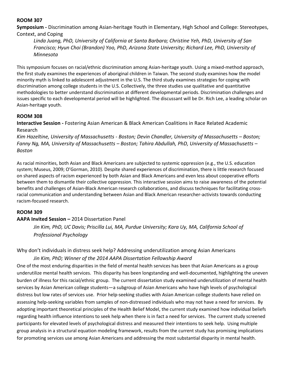**Symposium -** Discrimination among Asian-heritage Youth in Elementary, High School and College: Stereotypes, Context, and Coping

*Linda Juang, PhD, University of California at Santa Barbara; Christine Yeh, PhD, University of San Francisco; Hyun Choi (Brandon) Yoo, PhD, Arizona State University; Richard Lee, PhD, University of Minnesota*

This symposium focuses on racial/ethnic discrimination among Asian-heritage youth. Using a mixed-method approach, the first study examines the experiences of aboriginal children in Taiwan. The second study examines how the model minority myth is linked to adolescent adjustment in the U.S. The third study examines strategies for coping with discrimination among college students in the U.S. Collectively, the three studies use qualitative and quantitative methodologies to better understand discrimination at different developmental periods. Discrimination challenges and issues specific to each developmental period will be highlighted. The discussant will be Dr. Rich Lee, a leading scholar on Asian-heritage youth.

#### **ROOM 308**

**Interactive Session -** Fostering Asian American & Black American Coalitions in Race Related Academic Research

*Kim Hazeltine, University of Massachusetts - Boston; Devin Chandler, University of Massachusetts – Boston; Fanny Ng, MA, University of Massachusetts – Boston; Tahira Abdullah, PhD, University of Massachusetts – Boston*

As racial minorities, both Asian and Black Americans are subjected to systemic oppression (e.g., the U.S. education system; Museus, 2009; O'Gorman, 2010). Despite shared experiences of discrimination, there is little research focused on shared aspects of racism experienced by both Asian and Black Americans and even less about cooperative efforts between them to dismantle their collective oppression. This interactive session aims to raise awareness of the potential benefits and challenges of Asian-Black American research collaborations, and discuss techniques for facilitating crossracial communication and understanding between Asian and Black American researcher-activists towards conducting racism-focused research.

#### **ROOM 309**

#### **AAPA Invited Session –** 2014 Dissertation Panel

*Jin Kim, PhD, UC Davis; Priscilla Lui, MA, Purdue University; Kara Uy, MA, California School of Professional Psychology*

Why don't individuals in distress seek help? Addressing underutilization among Asian Americans

#### *Jin Kim, PhD; Winner of the 2014 AAPA Dissertation Fellowship Award*

One of the most enduring disparities in the field of mental health services has been that Asian Americans as a group underutilize mental health services. This disparity has been longstanding and well-documented, highlighting the uneven burden of illness for this racial/ethnic group. The current dissertation study examined underutilization of mental health services by Asian American college students—a subgroup of Asian Americans who have high levels of psychological distress but low rates of services use. Prior help-seeking studies with Asian American college students have relied on assessing help-seeking variables from samples of non-distressed individuals who may not have a need for services. By adopting important theoretical principles of the Health Belief Model, the current study examined how individual beliefs regarding health influence intentions to seek help when there is in fact a need for services. The current study screened participants for elevated levels of psychological distress and measured their intentions to seek help. Using multiple group analysis in a structural equation modeling framework, results from the current study has promising implications for promoting services use among Asian Americans and addressing the most substantial disparity in mental health.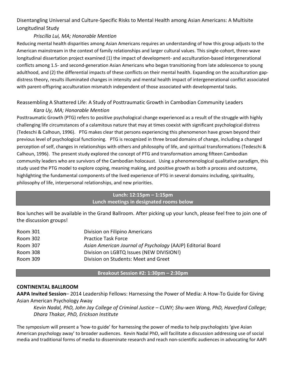# Disentangling Universal and Culture-Specific Risks to Mental Health among Asian Americans: A Multisite Longitudinal Study

#### *Priscilla Lui, MA; Honorable Mention*

Reducing mental health disparities among Asian Americans requires an understanding of how this group adjusts to the American mainstream in the context of family relationships and larger cultural values. This single-cohort, three-wave longitudinal dissertation project examined (1) the impact of development- and acculturation-based intergenerational conflicts among 1.5- and second-generation Asian Americans who began transitioning from late adolescence to young adulthood, and (2) the differential impacts of these conflicts on their mental health. Expanding on the acculturation gapdistress theory, results illuminated changes in intensity and mental health impact of intergenerational conflict associated with parent-offspring acculturation mismatch independent of those associated with developmental tasks.

#### Reassembling A Shattered Life: A Study of Posttraumatic Growth in Cambodian Community Leaders

#### *Kara Uy, MA; Honorable Mention*

Posttraumatic Growth (PTG) refers to positive psychological change experienced as a result of the struggle with highly challenging life circumstances of a calamitous nature that may at times coexist with significant psychological distress (Tedeschi & Calhoun, 1996). PTG makes clear that persons experiencing this phenomenon have grown beyond their previous level of psychological functioning. PTG is recognized in three broad domains of change, including a changed perception of self, changes in relationships with others and philosophy of life, and spiritual transformations (Tedeschi & Calhoun, 1996). The present study explored the concept of PTG and transformation among fifteen Cambodian community leaders who are survivors of the Cambodian holocaust. Using a phenomenological qualitative paradigm, this study used the PTG model to explore coping, meaning making, and positive growth as both a process and outcome, highlighting the fundamental components of the lived experience of PTG in several domains including, spirituality, philosophy of life, interpersonal relationships, and new priorities.

#### **Lunch: 12:15pm – 1:15pm Lunch meetings in designated rooms below**

Box lunches will be available in the Grand Ballroom. After picking up your lunch, please feel free to join one of the discussion groups!

| Room 301 | Division on Filipino Americans                              |
|----------|-------------------------------------------------------------|
| Room 302 | <b>Practice Task Force</b>                                  |
| Room 307 | Asian American Journal of Psychology (AAJP) Editorial Board |
| Room 308 | Division on LGBTQ Issues (NEW DIVISION!)                    |
| Room 309 | Division on Students: Meet and Greet                        |

#### **Breakout Session #2: 1:30pm – 2:30pm**

#### **CONTINENTAL BALLROOM**

**AAPA Invited Session**– 2014 Leadership Fellows: Harnessing the Power of Media: A How-To Guide for Giving Asian American Psychology Away

*Kevin Nadal, PhD, John Jay College of Criminal Justice – CUNY; Shu-wen Wang, PhD, Haverford College; Dhara Thakar, PhD, Erickson Institute*

The symposium will present a 'how-to guide' for harnessing the power of media to help psychologists 'give Asian American psychology away' to broader audiences. Kevin Nadal PhD, will facilitate a discussion addressing use of social media and traditional forms of media to disseminate research and reach non-scientific audiences in advocating for AAPI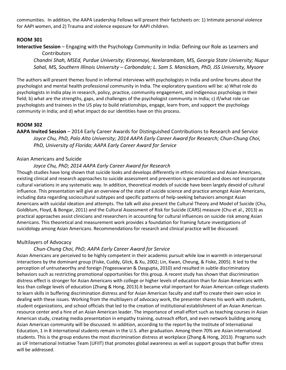communities. In addition, the AAPA Leadership Fellows will present their factsheets on: 1) Intimate personal violence for AAPI women, and 2) Trauma and violence exposure for AAPI children.

#### **ROOM 301**

**Interactive Session** – Engaging with the Psychology Community in India: Defining our Role as Learners and

**Contributors** *Chandni Shah, MSEd, Purdue University; Kiranmayi, Neelarambam, MS, Georgia State University; Nupur Sahal, MS, Southern Illinois University – Carbondale; L. Sam S. Manickam, PhD, JSS University, Mysore*

The authors will present themes found in informal interviews with psychologists in India and online forums about the psychologist and mental health professional community in India. The exploratory questions will be: a) What role do psychologists in India play in research, policy, practice, community engagement, and indigenous psychology in their field; b) what are the strengths, gaps, and challenges of the psychologist community in India; c) if/what role can psychologists and trainees in the US play to build relationships, engage, learn from, and support the psychology community in India; and d) what impact do our identities have on this process.

#### **ROOM 302**

#### **AAPA Invited Session** – 2014 Early Career Awards for Distinguished Contributions to Research and Service *Joyce Chu, PhD, Palo Alto University; 2014 AAPA Early Career Award for Research; Chun-Chung Choi, PhD, University of Florida; AAPA Early Career Award for Service*

#### Asian Americans and Suicide

#### *Joyce Chu, PhD; 2014 AAPA Early Career Award for Research*

Though studies have long shown that suicide looks and develops differently in ethnic minorities and Asian Americans, existing clinical and research approaches to suicide assessment and prevention is generalized and does not incorporate cultural variations in any systematic way. In addition, theoretical models of suicide have been largely devoid of cultural influence. This presentation will give an overview of the state of suicide science and practice amongst Asian Americans, including data regarding sociocultural subtypes and specific patterns of help-seeking behaviors amongst Asian Americans with suicidal ideation and attempts. The talk will also present the Cultural Theory and Model of Suicide (Chu, Goldblum, Floyd, & Bongar, 2011) and the Cultural Assessment of Risk for Suicide (CARS) measure (Chu et al., 2013) as practical approaches assist clinicians and researchers in accounting for cultural influences on suicide risk among Asian Americans. This theoretical and measurement work provides a foundation for framing future investigations of suicidology among Asian Americans. Recommendations for research and clinical practice will be discussed.

#### Multilayers of Advocacy

#### *Chun-Chung Choi, PhD; AAPA Early Career Award for Service*

Asian Americans are perceived to be highly competent in their academic pursuit while low in warmth in interpersonal interactions by the dominant group (Fiske, Cuddy, Glick, & Xu, 2002; Lin, Kwan, Cheung, & Fiske, 2005). It led to the perception of untrustworthy and foreign (Yogeeswaran & Dasgupta, 2010) and resulted in subtle discriminatory behaviors such as restricting promotional opportunities for this group. A recent study has shown that discrimination distress effect is stronger for Asian Americans with college or higher levels of education than for Asian Americans with less than college levels of education (Zhang & Hong, 2013).It became vital important for Asian American college students to learn skills in buffering discrimination distress and for Asian American faculty and staff to create their own voice in dealing with these issues. Working from the multilayers of advocacy work, the presenter shares his work with students, student organizations, and school officials that led to the creation of institutional establishment of an Asian American resource center and a hire of an Asian American leader. The importance of small effort such as teaching courses in Asian American study, creating media presentation in empathy training, outreach effort, and even network building among Asian American community will be discussed. In addition, according to the report by the Institute of International Education, 1 in 8 international students remain in the U.S. after graduation. Among them 70% are Asian international students. This is the group endures the most discrimination distress at workplace (Zhang & Hong, 2013). Programs such as UF International Initiative Team (UFIIT) that promotes global awareness as well as support groups that buffer stress will be addressed.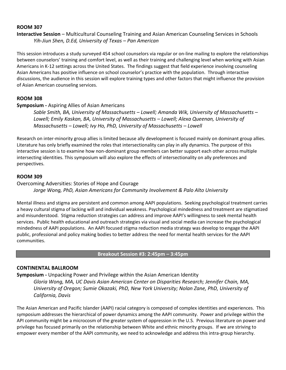**Interactive Session** – Multicultural Counseling Training and Asian American Counseling Services in Schools *Yih-Jiun Shen, D.Ed, University of Texas – Pan American*

This session introduces a study surveyed 454 school counselors via regular or on-line mailing to explore the relationships between counselors' training and comfort level, as well as their training and challenging level when working with Asian Americans in K-12 settings across the United States. The findings suggest that field experience involving counseling Asian Americans has positive influence on school counselor's practice with the population. Through interactive discussions, the audience in this session will explore training types and other factors that might influence the provision of Asian American counseling services.

#### **ROOM 308**

#### **Symposium -** Aspiring Allies of Asian Americans

*Sable Smith, BA, University of Massachusetts – Lowell; Amanda Wik, University of Massachusetts – Lowell; Emily Kaskan, BA, University of Massachusetts – Lowell; Alexa Queenan, University of Massachusetts – Lowell; Ivy Ho, PhD, University of Massachusetts – Lowell*

Research on inter-minority group allies is limited because ally development is focused mainly on dominant group allies. Literature has only briefly examined the roles that intersectionality can play in ally dynamics. The purpose of this interactive session is to examine how non-dominant group members can better support each other across multiple intersecting identities. This symposium will also explore the effects of intersectionality on ally preferences and perspectives.

#### **ROOM 309**

#### Overcoming Adversities: Stories of Hope and Courage *Jorge Wong, PhD, Asian Americans for Community Involvement & Palo Alto University*

Mental illness and stigma are persistent and common among AAPI populations. Seeking psychological treatment carries a heavy cultural stigma of lacking will and individual weakness. Psychological mindedness and treatment are stigmatized and misunderstood. Stigma reduction strategies can address and improve AAPI's willingness to seek mental health services. Public health educational and outreach strategies via visual and social media can increase the psychological mindedness of AAPI populations. An AAPI focused stigma reduction media strategy was develop to engage the AAPI public, professional and policy making bodies to better address the need for mental health services for the AAPI communities.

**Breakout Session #3: 2:45pm – 3:45pm**

#### **CONTINENTAL BALLROOM**

**Symposium -** Unpacking Power and Privilege within the Asian American Identity

*Gloria Wong, MA, UC Davis Asian American Center on Disparities Research; Jennifer Chain, MA, University of Oregon; Sumie Okazaki, PhD, New York University; Nolan Zane, PhD, University of California, Davis*

The Asian American and Pacific Islander (AAPI) racial category is composed of complex identities and experiences. This symposium addresses the hierarchical of power dynamics among the AAPI community. Power and privilege within the API community might be a microcosm of the greater system of oppression in the U.S. Previous literature on power and privilege has focused primarily on the relationship between White and ethnic minority groups. If we are striving to empower every member of the AAPI community, we need to acknowledge and address this intra-group hierarchy.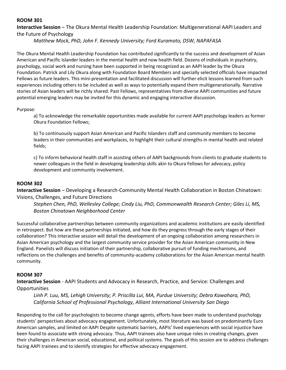**Interactive Session** – The Okura Mental Health Leadership Foundation: Multigenerational AAPI Leaders and the Future of Psychology

*Matthew Mock, PhD, John F. Kennedy University; Ford Kuramoto, DSW, NAPAFASA*

The Okura Mental Health Leadership Foundation has contributed significantly to the success and development of Asian American and Pacific Islander leaders in the mental health and now health field. Dozens of individuals in psychiatry, psychology, social work and nursing have been supported in being recognized as an AAPI leader by the Okura Foundation. Patrick and Lily Okura along with Foundation Board Members and specially selected officials have impacted Fellows as future leaders. This mini-presentation and facilitated discussion will further elicit lessons learned from such experiences including others to be included as well as ways to potentially expand them multigenerationally. Narrative stories of Asian leaders will be richly shared. Past Fellows, representatives from diverse AAPI communities and future potential emerging leaders may be invited for this dynamic and engaging interactive discussion.

#### Purpose:

a) To acknowledge the remarkable opportunities made available for current AAPI psychology leaders as former Okura Foundation Fellows;

b) To continuously support Asian American and Pacific Islanders staff and community members to become leaders in their communities and workplaces, to highlight their cultural strengths in mental health and related fields;

c) To inform behavioral health staff in assisting others of AAPI backgrounds from clients to graduate students to newer colleagues in the field in developing leadership skills akin to Okura Fellows for advocacy, policy development and community involvement.

#### **ROOM 302**

**Interactive Session** – Developing a Research-Community Mental Health Collaboration in Boston Chinatown: Visions, Challenges, and Future Directions

*Stephen Chen, PhD, Wellesley College; Cindy Liu, PhD, Commonwealth Research Center; Giles Li, MS, Boston Chinatown Neighborhood Center* 

Successful collaborative partnerships between community organizations and academic institutions are easily identified in retrospect. But how are these partnerships initiated, and how do they progress through the early stages of their collaboration? This interactive session will detail the development of an ongoing collaboration among researchers in Asian American psychology and the largest community service provider for the Asian American community in New England. Panelists will discuss initiation of their partnership, collaborative pursuit of funding mechanisms, and reflections on the challenges and benefits of community-academy collaborations for the Asian American mental health community.

#### **ROOM 307**

**Interactive Session** - AAPI Students and Advocacy in Research, Practice, and Service: Challenges and **Opportunities** 

*Linh P. Luu, MS, Lehigh University; P. Priscilla Lui, MA, Purdue University; Debra Kawahara, PhD, California School of Professional Psychology, Alliant International University San Diego*

Responding to the call for psychologists to become change agents, efforts have been made to understand psychology students' perspectives about advocacy engagement. Unfortunately, most literature was based on predominantly Euro American samples, and limited on AAPI Despite systematic barriers, AAPIs' lived experiences with social injustice have been found to associate with strong advocacy. Thus, AAPI trainees also have unique roles in creating changes, given their challenges in American social, educational, and political systems. The goals of this session are to address challenges facing AAPI trainees and to identify strategies for effective advocacy engagement.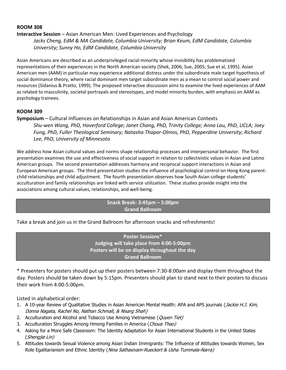#### **Interactive Session** – Asian American Men: Lived Experiences and Psychology

*Jacks Cheng, EdM & MA Candidate, Columbia University; Brian Keum, EdM Candidate, Columbia University; Sunny Ho, EdM Candidate, Columbia University*

Asian Americans are described as an underprivileged racial minority whose invisibility has problematized representations of their experiences in the North American society (Shek, 2006; Sue, 2005; Sue et al, 1995). Asian American men (AAM) in particular may experience additional distress under the subordinate male target hypothesis of social dominance theory, where racial dominant men target subordinate men as a mean to control social power and resources (Sidanius & Pratto, 1999). The proposed interactive discussion aims to examine the lived experiences of AAM as related to masculinity, societal portrayals and stereotypes, and model minority burden, with emphasis on AAM as psychology trainees.

#### **ROOM 309**

#### **Symposium** – Cultural Influences on Relationships in Asian and Asian American Contexts *Shu-wen Wang, PhD, Haverford College; Janet Chang, PhD, Trinity College; Anna Lau, PhD, UCLA; Joey Fung, PhD, Fuller Theological Seminary; Natasha Thapar-Olmos, PhD, Pepperdine University; Richard Lee, PhD, University of Minnesota*

We address how Asian cultural values and norms shape relationship processes and interpersonal behavior. The first presentation examines the use and effectiveness of social support in relation to collectivistic values in Asian and Latino American groups. The second presentation addresses harmony and reciprocal support interactions in Asian and European American groups. The third presentation studies the influence of psychological control on Hong Kong parentchild relationships and child adjustment. The fourth presentation observes how South Asian college students' acculturation and family relationships are linked with service utilization. These studies provide insight into the associations among cultural values, relationships, and well-being.

#### **Snack Break: 3:45pm – 5:00pm Grand Ballroom**

Take a break and join us in the Grand Ballroom for afternoon snacks and refreshments!

**Poster Sessions\* Judging will take place from 4:00-5:00pm Posters will be on display throughout the day Grand Ballroom**

\* Presenters for posters should put up their posters between 7:30-8:00am and display them throughout the day. Posters should be taken down by 5:15pm. Presenters should plan to stand next to their posters to discuss their work from 4:00-5:00pm.

Listed in alphabetical order:

- 1. A 10-year Review of Qualitative Studies in Asian American Mental Health: APA and APS journals (Jackie H.J. Kim, Donna Nagata, Rachel No, Nathan Schmall, & Nisarg Shah)
- 2. Acculturation and Alcohol and Tobacco Use Among Vietnamese (Quyen Tiet)
- 3. Acculturation Struggles Among Hmong Families in America (Choua Thao)
- 4. Asking for a More Safe Classroom: The Identity Adaptation for Asian International Students in the United States (Shengjie Lin)
- 5. Attitudes towards Sexual Violence among Asian Indian Immigrants: The Influence of Attitudes towards Women, Sex Role Egalitarianism and Ethnic Identity (Nina Sathasivam-Rueckert & Usha Tummala-Narra)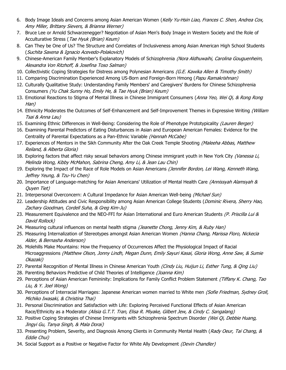- 6. Body Image Ideals and Concerns among Asian American Women (Kelly Yu-Hsin Liao, Frances C. Shen, Andrea Cox, Amy Miller, Brittany Sievers, & Brianna Werner)
- 7. Bruce Lee or Arnold Schwarzenegger? Negotiation of Asian Men's Body Image in Western Society and the Role of Acculturative Stress (Tae Hyuk (Brian) Keum)
- 8. Can They be One of Us? The Structure and Correlates of Inclusiveness among Asian American High School Students (Suchita Saxena & Ignacio Acevedo-Polakovich)
- 9. Chinese-American Family Member's Explanatory Models of Schizophrenia (Nora Aldhuwaihi, Carolina Gouguenheim, Alexandra Von Ritzhoff, & Josefina Toso Salman)
- 10. Collectivistic Coping Strategies for Distress among Polynesian Americans (G.E. Kawika Allen & Timothy Smith)
- 11. Comparing Discrimination Experienced Among US-Born and Foreign-Born Hmong (Papu Ramakrishnan)
- 12. Culturally Qualitative Study: Understanding Family Members' and Caregivers' Burdens for Chinese Schizophrenia Consumers (Yu Chak Sunny Ho, Emily He, & Tae Hyuk (Brian) Keum)
- 13. Emotional Reactions to Stigma of Mental Illness in Chinese Immigrant Consumers (Anna Yeo, Wei Qi, & Rong Rong Han)
- 14. Ethnicity Moderates the Outcomes of Self-Enhancement and Self-Improvement Themes in Expressive Writing (William Tsai & Anna Lau)
- 15. Examining Ethnic Differences in Well-Being: Considering the Role of Phenotype Prototypicality (Lauren Berger)
- 16. Examining Parental Predictors of Eating Disturbances in Asian and European American Females: Evidence for the Centrality of Parental Expectations as a Pan-Ethnic Variable (Hannah McCabe)
- 17. Experiences of Mentors in the Sikh Community After the Oak Creek Temple Shooting *(Maleeha Abbas, Matthew* Reiland, & Alberta Gloria)
- 18. Exploring factors that affect risky sexual behaviors among Chinese immigrant youth in New York City (Vanessa Li, Melinda Wong, Kibby McMahon, Sabrina Cheng, Amy Li, & Jean Lau Chin)
- 19. Exploring the Impact of the Race of Role Models on Asian Americans (Jennifer Bordon, Lei Wang, Kenneth Wang, Jeffrey Yeung, & Tzu-Yu Chen)
- 20. Importance of Language-matching for Asian Americans' Utilization of Mental Health Care (Annissyah Alamsyah & Quyen Tiet)
- 21. Interpersonal Overconcern: A Cultural Impedance for Asian American Well-being (Michael Sun)
- 22. Leadership Attitudes and Civic Responsibility among Asian American College Students (*Dominic Rivera, Sherry Hao,* Zachary Goodman, Cordell Suha, & Greg Kim-Ju)
- 23. Measurement Equivalence and the NEO-FFI for Asian International and Euro American Students (P. Priscilla Lui & David Rollock)
- 24. Measuring cultural influences on mental health stigma (Jeanette Chong, Jenny Kim, & Ruby Han)
- 25. Measuring Internalization of Stereotypes amongst Asian American Women (Hanna Chang, Marissa Floro, Nickecia Alder, & Bernasha Anderson)
- 26. Molehills Make Mountains: How the Frequency of Occurrences Affect the Physiological Impact of Racial Microaggressions (Matthew Olson, Jonny Lindh, Megan Dunn, Emily Sayuri Kasai, Gloria Wong, Anne Saw, & Sumie Okazaki)
- 27. Parental Recognition of Mental Illness in Chinese American Youth *(Cindy Liu, Huijun Li, Esther Tung, & Qing Liu)*
- 28. Parenting Behaviors Predictive of Child Theories of Intelligence (Joanna Kim)
- 29. Perceptions of Asian American Femininity: Implications for Family Conflict Problem Statement (Tiffany K. Chang, Tao Liu, & Y. Joel Wong)
- 30. Perceptions of Interracial Marriages: Japanese American women married to White men (Sofie Friedman, Sydney Groll, Michiko Iwasaki, & Christina Thai)
- 31. Personal Discrimination and Satisfaction with Life: Exploring Perceived Functional Effects of Asian American Race/Ethnicity as a Moderator (Alisia G.T.T. Tran, Elisa R. Miyake, Gilbert Jew, & Cindy C. Sangalang)
- 32. Positive Coping Strategies of Chinese Immigrants with Schizophrenia Spectrum Disorder (Wei Qi, Debbie Huang, Jingyi Gu, Tanya Singh, & Mala Dorai)
- 33. Presenting Problem, Severity, and Diagnosis Among Clients in Community Mental Health (Rady Oeur, Tai Chang, & Eddie Chui)
- 34. Social Support as a Positive or Negative Factor for White Ally Development (Devin Chandler)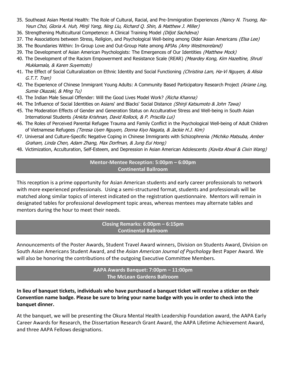- 35. Southeast Asian Mental Health: The Role of Cultural, Racial, and Pre-Immigration Experiences (Nancy N. Truong, Na-Yeun Choi, Gloria A. Huh, Minji Yang, Ning Liu, Richard Q. Shin, & Matthew J. Miller)
- 36. Strengthening Multicultural Competence: A Clinical Training Model (Diljot Sachdeva)
- 37. The Associations between Stress, Religion, and Psychological Well-being among Older Asian Americans (Elsa Lee)
- 38. The Boundaries Within: In-Group Love and Out-Group Hate among APIAs (Amy Westmoreland)
- 39. The Development of Asian American Psychologists: The Emergences of Our Identities (Matthew Mock)
- 40. The Development of the Racism Empowerment and Resistance Scale (REAR) (Meardey Kong, Kim Hazeltine, Shruti Mukkamala, & Karen Suyemoto)
- 41. The Effect of Social Culturalization on Ethnic Identity and Social Functioning (Christina Lam, Ha-Vi Nguyen, & Alisia G.T.T. Tran)
- 42. The Experience of Chinese Immigrant Young Adults: A Community Based Participatory Research Project (Ariane Ling, Sumie Okazaki, & Ming Tu)
- 43. The Indian Male Sexual Offender: Will the Good Lives Model Work? (Richa Khanna)
- 44. The Influence of Social Identities on Asians' and Blacks' Social Distance (Shinji Katsumoto & John Tawa)
- 45. The Moderation Effects of Gender and Generation Status on Acculturative Stress and Well-being in South Asian International Students (Ankita Krishnan, David Rollock, & P. Priscilla Lui)
- 46. The Roles of Perceived Parental Refugee Trauma and Family Conflict in the Psychological Well-being of Adult Children of Vietnamese Refugees (Teresa Uyen Nguyen, Donna Kiyo Nagata, & Jackie H.J. Kim)
- 47. Universal and Culture-Specific Negative Coping in Chinese Immigrants with Schizophrenia (Michiko Matsuba, Amber Graham, Linda Chen, Adam Zhang, Max Dorfman, & Jung Eui Hong)
- 48. Victimization, Acculturation, Self-Esteem, and Depression in Asian American Adolescents (Kavita Atwal & Cixin Wang)

#### **Mentor-Mentee Reception: 5:00pm – 6:00pm Continental Ballroom**

This reception is a prime opportunity for Asian American students and early career professionals to network with more experienced professionals. Using a semi-structured format, students and professionals will be matched along similar topics of interest indicated on the registration questionnaire. Mentors will remain in designated tables for professional development topic areas, whereas mentees may alternate tables and mentors during the hour to meet their needs.

#### **Closing Remarks: 6:00pm – 6:15pm Continental Ballroom**

Announcements of the Poster Awards, Student Travel Award winners, Division on Students Award, Division on South Asian Americans Student Award, and the *Asian American Journal of Psychology* Best Paper Award. We will also be honoring the contributions of the outgoing Executive Committee Members.

#### **AAPA Awards Banquet: 7:00pm – 11:00pm The McLean Gardens Ballroom**

**In lieu of banquet tickets, individuals who have purchased a banquet ticket will receive a sticker on their Convention name badge. Please be sure to bring your name badge with you in order to check into the banquet dinner.**

At the banquet, we will be presenting the Okura Mental Health Leadership Foundation award, the AAPA Early Career Awards for Research, the Dissertation Research Grant Award, the AAPA Lifetime Achievement Award, and three AAPA Fellows designations.